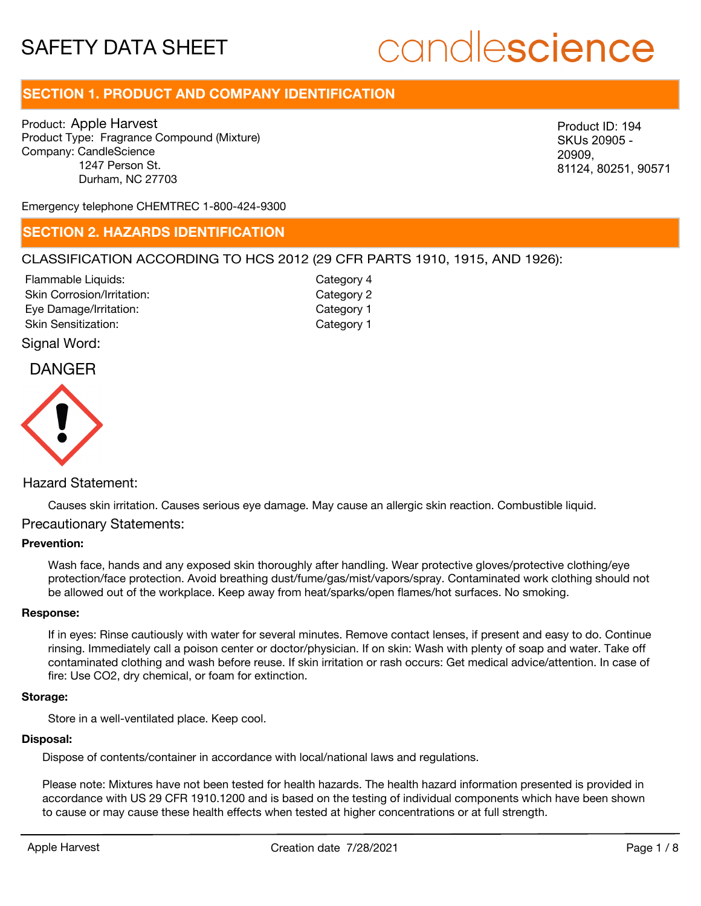# candlescience

# **SECTION 1. PRODUCT AND COMPANY IDENTIFICATION**

Product: Apple Harvest Product Type: Fragrance Compound (Mixture) Company: CandleScience 1247 Person St. Durham, NC 27703

SKUs 20905 - 20909, 81124, 80251, 90571

Emergency telephone CHEMTREC 1-800-424-9300

# **SECTION 2. HAZARDS IDENTIFICATION**

### CLASSIFICATION ACCORDING TO HCS 2012 (29 CFR PARTS 1910, 1915, AND 1926):

Skin Corrosion/Irritation: Eye Damage/Irritation: Skin Sensitization: Flammable Liquids:

Category 2 Category 1 Category 1 Category 4

Signal Word:

# DANGER



### Hazard Statement:

Causes skin irritation. Causes serious eye damage. May cause an allergic skin reaction. Combustible liquid.

### Precautionary Statements:

### **Prevention:**

Wash face, hands and any exposed skin thoroughly after handling. Wear protective gloves/protective clothing/eye protection/face protection. Avoid breathing dust/fume/gas/mist/vapors/spray. Contaminated work clothing should not be allowed out of the workplace. Keep away from heat/sparks/open flames/hot surfaces. No smoking.

#### **Response:**

If in eyes: Rinse cautiously with water for several minutes. Remove contact lenses, if present and easy to do. Continue rinsing. Immediately call a poison center or doctor/physician. If on skin: Wash with plenty of soap and water. Take off contaminated clothing and wash before reuse. If skin irritation or rash occurs: Get medical advice/attention. In case of fire: Use CO2, dry chemical, or foam for extinction. Moode Mapple Harvest Creation decisions and the method in the method of the method of the method of the method of the method of the method of the method of the method of the method of the method of the method of the method

#### **Storage:**

Store in a well-ventilated place. Keep cool.

### **Disposal:**

Dispose of contents/container in accordance with local/national laws and regulations.

Please note: Mixtures have not been tested for health hazards. The health hazard information presented is provided in accordance with US 29 CFR 1910.1200 and is based on the testing of individual components which have been shown to cause or may cause these health effects when tested at higher concentrations or at full strength.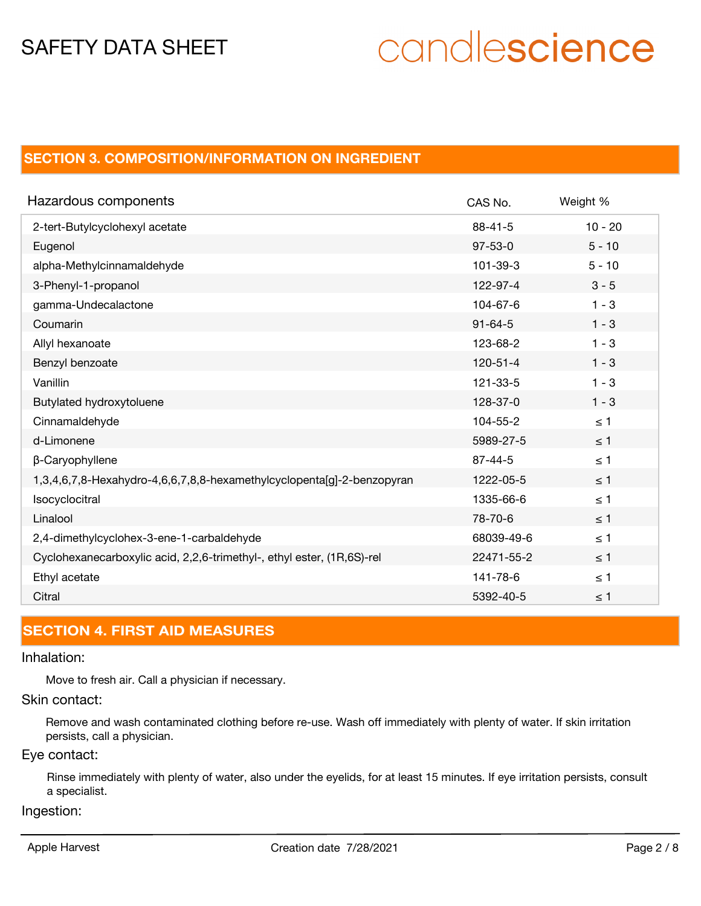# candlescience

# **SECTION 3. COMPOSITION/INFORMATION ON INGREDIENT**

| Hazardous components                                                   | CAS No.        | Weight %  |
|------------------------------------------------------------------------|----------------|-----------|
| 2-tert-Butylcyclohexyl acetate                                         | $88 - 41 - 5$  | $10 - 20$ |
| Eugenol                                                                | $97 - 53 - 0$  | $5 - 10$  |
| alpha-Methylcinnamaldehyde                                             | 101-39-3       | $5 - 10$  |
| 3-Phenyl-1-propanol                                                    | 122-97-4       | $3 - 5$   |
| gamma-Undecalactone                                                    | 104-67-6       | $1 - 3$   |
| Coumarin                                                               | $91 - 64 - 5$  | $1 - 3$   |
| Allyl hexanoate                                                        | 123-68-2       | $1 - 3$   |
| Benzyl benzoate                                                        | $120 - 51 - 4$ | $1 - 3$   |
| Vanillin                                                               | 121-33-5       | $1 - 3$   |
| Butylated hydroxytoluene                                               | 128-37-0       | $1 - 3$   |
| Cinnamaldehyde                                                         | 104-55-2       | $\leq 1$  |
| d-Limonene                                                             | 5989-27-5      | $\leq$ 1  |
| β-Caryophyllene                                                        | $87 - 44 - 5$  | $\leq 1$  |
| 1,3,4,6,7,8-Hexahydro-4,6,6,7,8,8-hexamethylcyclopenta[g]-2-benzopyran | 1222-05-5      | $\leq$ 1  |
| Isocyclocitral                                                         | 1335-66-6      | $\leq 1$  |
| Linalool                                                               | 78-70-6        | $\leq$ 1  |
| 2,4-dimethylcyclohex-3-ene-1-carbaldehyde                              | 68039-49-6     | $\leq 1$  |
| Cyclohexanecarboxylic acid, 2,2,6-trimethyl-, ethyl ester, (1R,6S)-rel | 22471-55-2     | $\leq 1$  |
| Ethyl acetate                                                          | 141-78-6       | $\leq 1$  |
| Citral                                                                 | 5392-40-5      | $\leq 1$  |

# **SECTION 4. FIRST AID MEASURES**

## Inhalation:

Move to fresh air. Call a physician if necessary.

## Skin contact:

Remove and wash contaminated clothing before re-use. Wash off immediately with plenty of water. If skin irritation persists, call a physician.

# Eye contact:

Rinse immediately with plenty of water, also under the eyelids, for at least 15 minutes. If eye irritation persists, consult a specialist.

### Ingestion: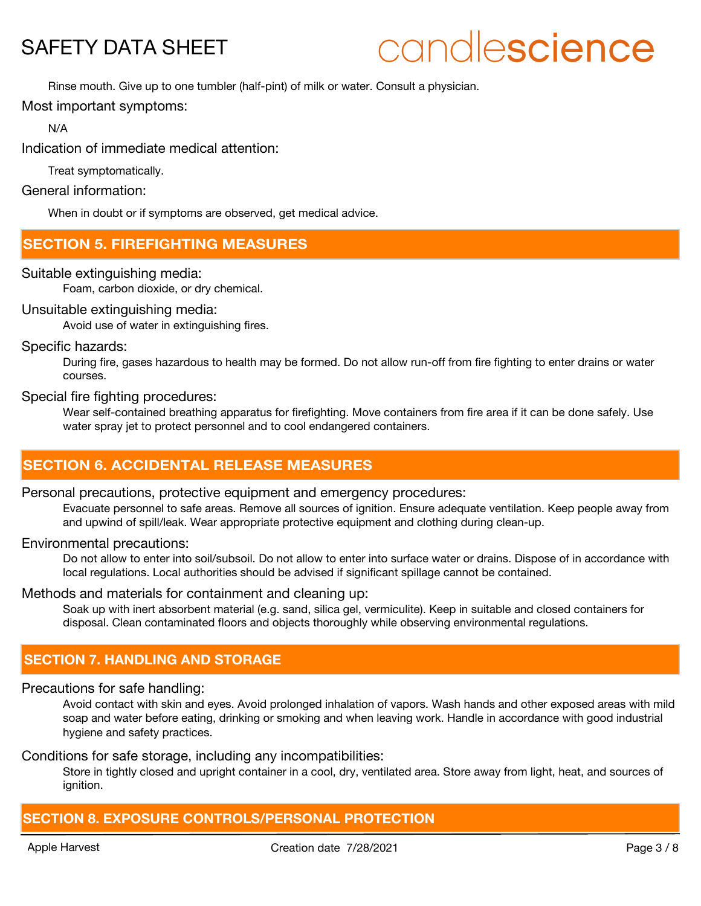# candlescience

Rinse mouth. Give up to one tumbler (half-pint) of milk or water. Consult a physician.

Most important symptoms:

N/A

Indication of immediate medical attention:

Treat symptomatically.

General information:

When in doubt or if symptoms are observed, get medical advice.

# **SECTION 5. FIREFIGHTING MEASURES**

Suitable extinguishing media:

Foam, carbon dioxide, or dry chemical.

### Unsuitable extinguishing media:

Avoid use of water in extinguishing fires.

Specific hazards:

During fire, gases hazardous to health may be formed. Do not allow run-off from fire fighting to enter drains or water courses.

Special fire fighting procedures:

Wear self-contained breathing apparatus for firefighting. Move containers from fire area if it can be done safely. Use water spray jet to protect personnel and to cool endangered containers.

# **SECTION 6. ACCIDENTAL RELEASE MEASURES**

### Personal precautions, protective equipment and emergency procedures:

Evacuate personnel to safe areas. Remove all sources of ignition. Ensure adequate ventilation. Keep people away from and upwind of spill/leak. Wear appropriate protective equipment and clothing during clean-up.

Environmental precautions:

Do not allow to enter into soil/subsoil. Do not allow to enter into surface water or drains. Dispose of in accordance with local regulations. Local authorities should be advised if significant spillage cannot be contained.

### Methods and materials for containment and cleaning up:

Soak up with inert absorbent material (e.g. sand, silica gel, vermiculite). Keep in suitable and closed containers for disposal. Clean contaminated floors and objects thoroughly while observing environmental regulations.

# **SECTION 7. HANDLING AND STORAGE**

### Precautions for safe handling:

Avoid contact with skin and eyes. Avoid prolonged inhalation of vapors. Wash hands and other exposed areas with mild soap and water before eating, drinking or smoking and when leaving work. Handle in accordance with good industrial hygiene and safety practices.

### Conditions for safe storage, including any incompatibilities:

Store in tightly closed and upright container in a cool, dry, ventilated area. Store away from light, heat, and sources of ignition.

### **SECTION 8. EXPOSURE CONTROLS/PERSONAL PROTECTION**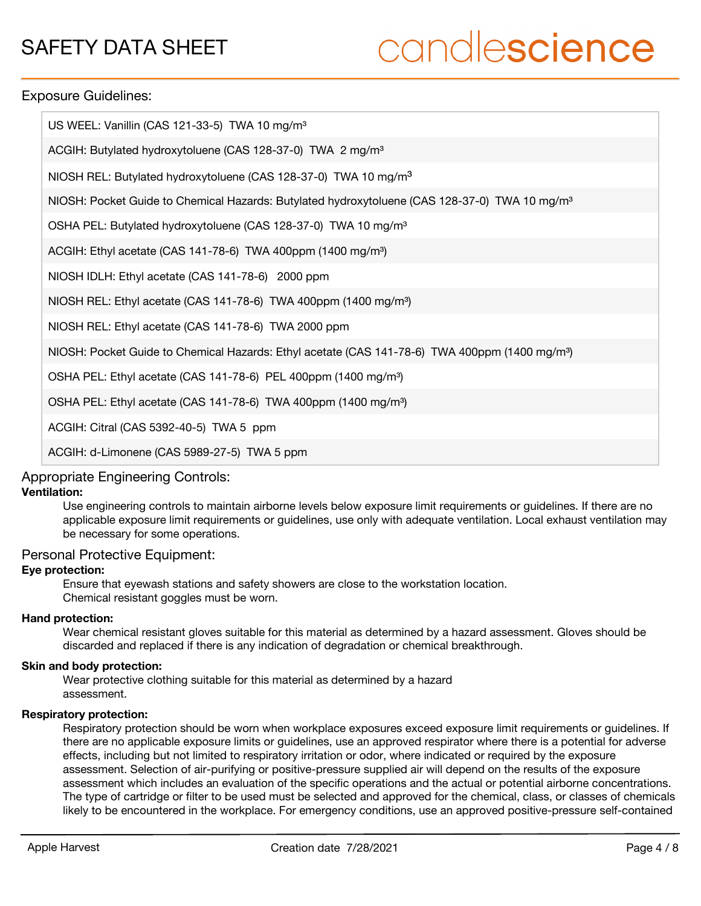# candlescience

### Exposure Guidelines:

| US WEEL: Vanillin (CAS 121-33-5) TWA 10 mg/m <sup>3</sup>                                                  |
|------------------------------------------------------------------------------------------------------------|
| ACGIH: Butylated hydroxytoluene (CAS 128-37-0) TWA 2 mg/m <sup>3</sup>                                     |
| NIOSH REL: Butylated hydroxytoluene (CAS 128-37-0) TWA 10 mg/m <sup>3</sup>                                |
| NIOSH: Pocket Guide to Chemical Hazards: Butylated hydroxytoluene (CAS 128-37-0) TWA 10 mg/m <sup>3</sup>  |
| OSHA PEL: Butylated hydroxytoluene (CAS 128-37-0) TWA 10 mg/m <sup>3</sup>                                 |
| ACGIH: Ethyl acetate (CAS 141-78-6) TWA 400ppm (1400 mg/m <sup>3</sup> )                                   |
| NIOSH IDLH: Ethyl acetate (CAS 141-78-6) 2000 ppm                                                          |
| NIOSH REL: Ethyl acetate (CAS 141-78-6) TWA 400ppm (1400 mg/m <sup>3</sup> )                               |
| NIOSH REL: Ethyl acetate (CAS 141-78-6) TWA 2000 ppm                                                       |
| NIOSH: Pocket Guide to Chemical Hazards: Ethyl acetate (CAS 141-78-6) TWA 400ppm (1400 mg/m <sup>3</sup> ) |
| OSHA PEL: Ethyl acetate (CAS 141-78-6) PEL 400ppm (1400 mg/m <sup>3</sup> )                                |
| OSHA PEL: Ethyl acetate (CAS 141-78-6) TWA 400ppm (1400 mg/m <sup>3</sup> )                                |
| ACGIH: Citral (CAS 5392-40-5) TWA 5 ppm                                                                    |
| ACGIH: d-Limonene (CAS 5989-27-5) TWA 5 ppm                                                                |

### Appropriate Engineering Controls:

### **Ventilation:**

Use engineering controls to maintain airborne levels below exposure limit requirements or guidelines. If there are no applicable exposure limit requirements or guidelines, use only with adequate ventilation. Local exhaust ventilation may be necessary for some operations.

### Personal Protective Equipment:

### **Eye protection:**

Ensure that eyewash stations and safety showers are close to the workstation location. Chemical resistant goggles must be worn.

### **Hand protection:**

Wear chemical resistant gloves suitable for this material as determined by a hazard assessment. Gloves should be discarded and replaced if there is any indication of degradation or chemical breakthrough.

### **Skin and body protection:**

Wear protective clothing suitable for this material as determined by a hazard assessment.

### **Respiratory protection:**

Respiratory protection should be worn when workplace exposures exceed exposure limit requirements or guidelines. If there are no applicable exposure limits or guidelines, use an approved respirator where there is a potential for adverse effects, including but not limited to respiratory irritation or odor, where indicated or required by the exposure assessment. Selection of air-purifying or positive-pressure supplied air will depend on the results of the exposure assessment which includes an evaluation of the specific operations and the actual or potential airborne concentrations. The type of cartridge or filter to be used must be selected and approved for the chemical, class, or classes of chemicals likely to be encountered in the workplace. For emergency conditions, use an approved positive-pressure self-contained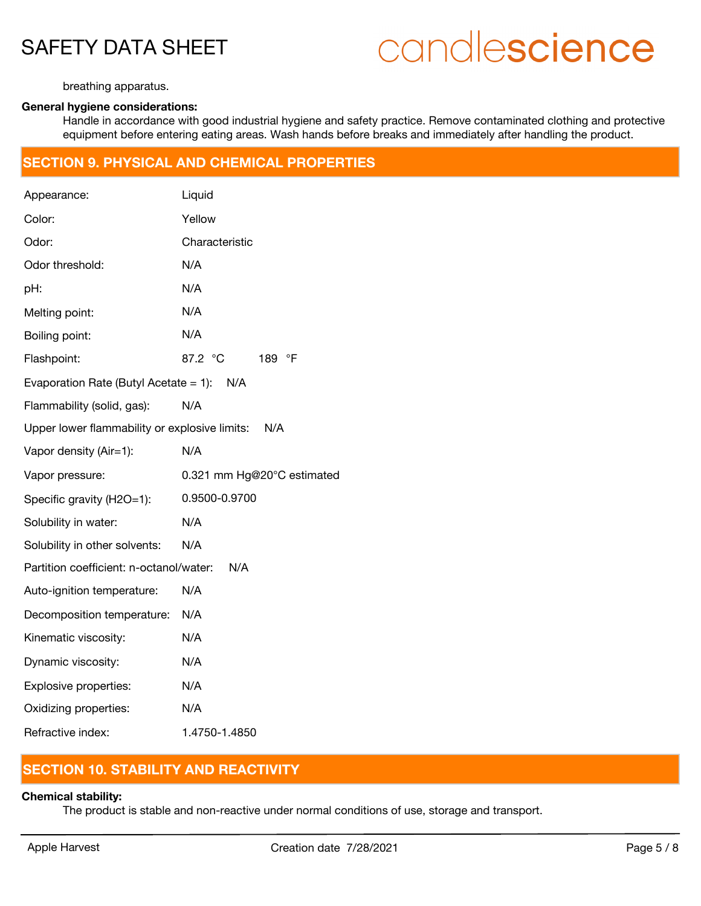# candlescience

breathing apparatus.

## **General hygiene considerations:**

Handle in accordance with good industrial hygiene and safety practice. Remove contaminated clothing and protective equipment before entering eating areas. Wash hands before breaks and immediately after handling the product.

### **SECTION 9. PHYSICAL AND CHEMICAL PROPERTIES**

| Appearance:                                   | Liquid                      |
|-----------------------------------------------|-----------------------------|
| Color:                                        | Yellow                      |
| Odor:                                         | Characteristic              |
| Odor threshold:                               | N/A                         |
| pH:                                           | N/A                         |
| Melting point:                                | N/A                         |
| Boiling point:                                | N/A                         |
| Flashpoint:                                   | 87.2 °C<br>189<br>$\circ$ F |
| Evaporation Rate (Butyl Acetate $= 1$ ):      | N/A                         |
| Flammability (solid, gas):                    | N/A                         |
| Upper lower flammability or explosive limits: | N/A                         |
| Vapor density (Air=1):                        | N/A                         |
| Vapor pressure:                               | 0.321 mm Hg@20°C estimated  |
| Specific gravity (H2O=1):                     | 0.9500-0.9700               |
| Solubility in water:                          | N/A                         |
| Solubility in other solvents:                 | N/A                         |
| Partition coefficient: n-octanol/water:       | N/A                         |
| Auto-ignition temperature:                    | N/A                         |
| Decomposition temperature:                    | N/A                         |
| Kinematic viscosity:                          | N/A                         |
| Dynamic viscosity:                            | N/A                         |
| Explosive properties:                         | N/A                         |
| Oxidizing properties:                         | N/A                         |
| Refractive index:                             | 1.4750-1.4850               |

# **SECTION 10. STABILITY AND REACTIVITY**

### **Chemical stability:**

The product is stable and non-reactive under normal conditions of use, storage and transport.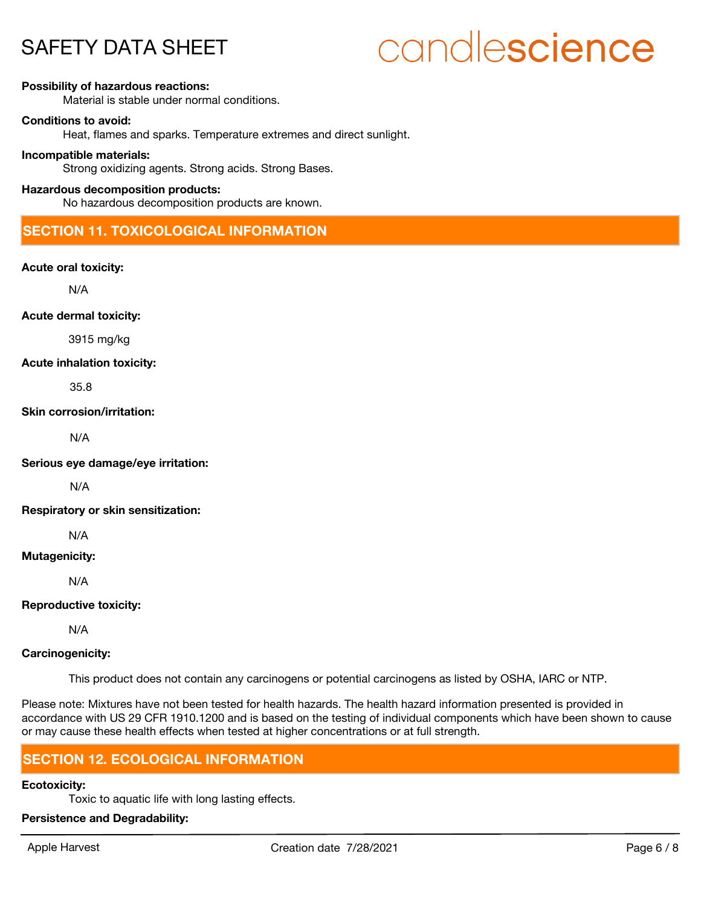# candlescience

#### **Possibility of hazardous reactions:**

Material is stable under normal conditions.

#### **Conditions to avoid:**

Heat, flames and sparks. Temperature extremes and direct sunlight.

#### **Incompatible materials:**

Strong oxidizing agents. Strong acids. Strong Bases.

### **Hazardous decomposition products:**

No hazardous decomposition products are known.

# **SECTION 11. TOXICOLOGICAL INFORMATION**

**Acute oral toxicity:**

N/A

**Acute dermal toxicity:**

3915 mg/kg

#### **Acute inhalation toxicity:**

35.8

**Skin corrosion/irritation:**

N/A

**Serious eye damage/eye irritation:**

N/A

**Respiratory or skin sensitization:**

N/A

### **Mutagenicity:**

N/A

**Reproductive toxicity:**

N/A

### **Carcinogenicity:**

This product does not contain any carcinogens or potential carcinogens as listed by OSHA, IARC or NTP.

Please note: Mixtures have not been tested for health hazards. The health hazard information presented is provided in accordance with US 29 CFR 1910.1200 and is based on the testing of individual components which have been shown to cause or may cause these health effects when tested at higher concentrations or at full strength.

### **SECTION 12. ECOLOGICAL INFORMATION**

### **Ecotoxicity:**

Toxic to aquatic life with long lasting effects.

### **Persistence and Degradability:**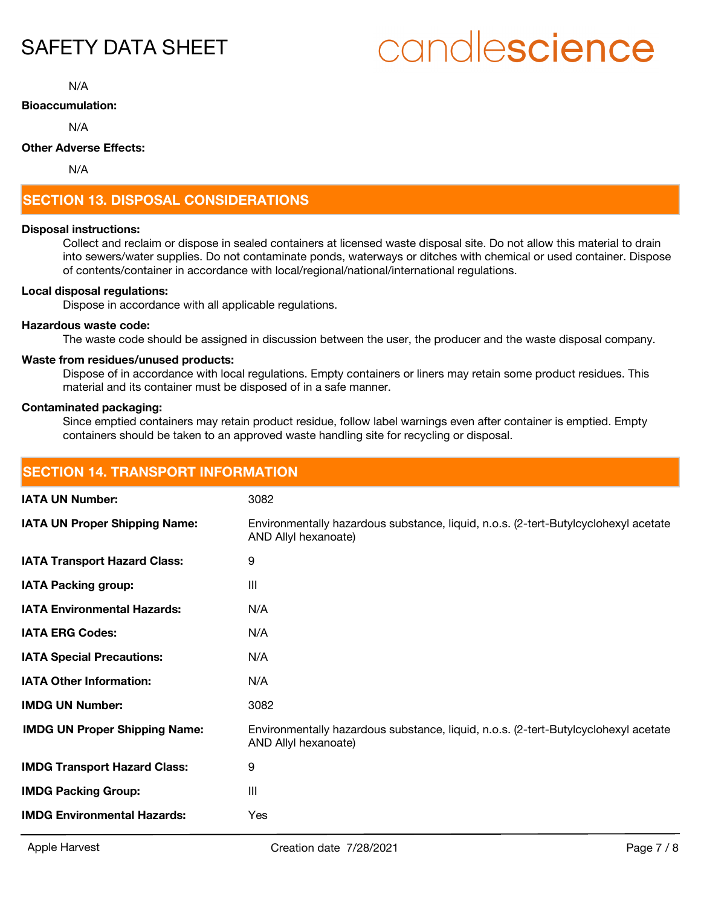# candlescience

N/A

### **Bioaccumulation:**

N/A

### **Other Adverse Effects:**

N/A

# **SECTION 13. DISPOSAL CONSIDERATIONS**

### **Disposal instructions:**

Collect and reclaim or dispose in sealed containers at licensed waste disposal site. Do not allow this material to drain into sewers/water supplies. Do not contaminate ponds, waterways or ditches with chemical or used container. Dispose of contents/container in accordance with local/regional/national/international regulations.

### **Local disposal regulations:**

Dispose in accordance with all applicable regulations.

### **Hazardous waste code:**

The waste code should be assigned in discussion between the user, the producer and the waste disposal company.

### **Waste from residues/unused products:**

Dispose of in accordance with local regulations. Empty containers or liners may retain some product residues. This material and its container must be disposed of in a safe manner.

### **Contaminated packaging:**

Since emptied containers may retain product residue, follow label warnings even after container is emptied. Empty containers should be taken to an approved waste handling site for recycling or disposal.

| <b>SECTION 14. TRANSPORT INFORMATION</b> |                                                                                                             |  |
|------------------------------------------|-------------------------------------------------------------------------------------------------------------|--|
| <b>IATA UN Number:</b>                   | 3082                                                                                                        |  |
| IATA UN Proper Shipping Name:            | Environmentally hazardous substance, liquid, n.o.s. (2-tert-Butylcyclohexyl acetate<br>AND Allyl hexanoate) |  |
| <b>IATA Transport Hazard Class:</b>      | 9                                                                                                           |  |
| <b>IATA Packing group:</b>               | III                                                                                                         |  |
| <b>IATA Environmental Hazards:</b>       | N/A                                                                                                         |  |
| <b>IATA ERG Codes:</b>                   | N/A                                                                                                         |  |
| <b>IATA Special Precautions:</b>         | N/A                                                                                                         |  |
| <b>IATA Other Information:</b>           | N/A                                                                                                         |  |
| <b>IMDG UN Number:</b>                   | 3082                                                                                                        |  |
| <b>IMDG UN Proper Shipping Name:</b>     | Environmentally hazardous substance, liquid, n.o.s. (2-tert-Butylcyclohexyl acetate<br>AND Allyl hexanoate) |  |
| <b>IMDG Transport Hazard Class:</b>      | 9                                                                                                           |  |
| <b>IMDG Packing Group:</b>               | III                                                                                                         |  |
| <b>IMDG Environmental Hazards:</b>       | Yes                                                                                                         |  |